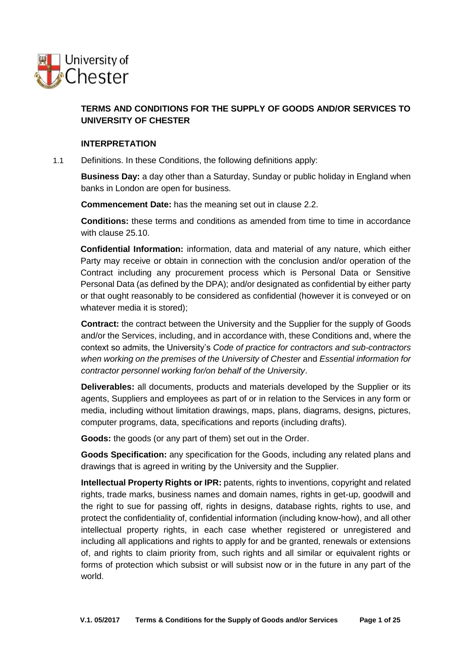

# **TERMS AND CONDITIONS FOR THE SUPPLY OF GOODS AND/OR SERVICES TO UNIVERSITY OF CHESTER**

#### **1. INTERPRETATION**

1.1 Definitions. In these Conditions, the following definitions apply:

**Business Day:** a day other than a Saturday, Sunday or public holiday in England when banks in London are open for business.

**Commencement Date:** has the meaning set out in clause [2.2.](#page-2-0)

**Conditions:** these terms and conditions as amended from time to time in accordance with clause [25.10.](#page-23-0)

**Confidential Information:** information, data and material of any nature, which either Party may receive or obtain in connection with the conclusion and/or operation of the Contract including any procurement process which is Personal Data or Sensitive Personal Data (as defined by the DPA); and/or designated as confidential by either party or that ought reasonably to be considered as confidential (however it is conveyed or on whatever media it is stored);

**Contract:** the contract between the University and the Supplier for the supply of Goods and/or the Services, including, and in accordance with, these Conditions and, where the context so admits, the University's *Code of practice for contractors and sub-contractors when working on the premises of the University of Chester* and *Essential information for contractor personnel working for/on behalf of the University*.

**Deliverables:** all documents, products and materials developed by the Supplier or its agents, Suppliers and employees as part of or in relation to the Services in any form or media, including without limitation drawings, maps, plans, diagrams, designs, pictures, computer programs, data, specifications and reports (including drafts).

**Goods:** the goods (or any part of them) set out in the Order.

**Goods Specification:** any specification for the Goods, including any related plans and drawings that is agreed in writing by the University and the Supplier.

**Intellectual Property Rights or IPR:** patents, rights to inventions, copyright and related rights, trade marks, business names and domain names, rights in get-up, goodwill and the right to sue for passing off, rights in designs, database rights, rights to use, and protect the confidentiality of, confidential information (including know-how), and all other intellectual property rights, in each case whether registered or unregistered and including all applications and rights to apply for and be granted, renewals or extensions of, and rights to claim priority from, such rights and all similar or equivalent rights or forms of protection which subsist or will subsist now or in the future in any part of the world.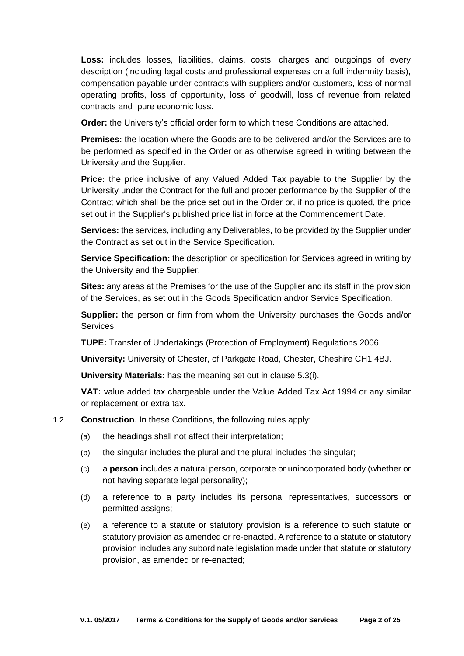**Loss:** includes losses, liabilities, claims, costs, charges and outgoings of every description (including legal costs and professional expenses on a full indemnity basis), compensation payable under contracts with suppliers and/or customers, loss of normal operating profits, loss of opportunity, loss of goodwill, loss of revenue from related contracts and pure economic loss.

**Order:** the University's official order form to which these Conditions are attached.

**Premises:** the location where the Goods are to be delivered and/or the Services are to be performed as specified in the Order or as otherwise agreed in writing between the University and the Supplier.

**Price:** the price inclusive of any Valued Added Tax payable to the Supplier by the University under the Contract for the full and proper performance by the Supplier of the Contract which shall be the price set out in the Order or, if no price is quoted, the price set out in the Supplier's published price list in force at the Commencement Date.

**Services:** the services, including any Deliverables, to be provided by the Supplier under the Contract as set out in the Service Specification.

**Service Specification:** the description or specification for Services agreed in writing by the University and the Supplier.

**Sites:** any areas at the Premises for the use of the Supplier and its staff in the provision of the Services, as set out in the Goods Specification and/or Service Specification.

**Supplier:** the person or firm from whom the University purchases the Goods and/or Services.

**TUPE:** Transfer of Undertakings (Protection of Employment) Regulations 2006.

**University:** University of Chester, of Parkgate Road, Chester, Cheshire CH1 4BJ.

**University Materials:** has the meaning set out in clause [5.3\(i\).](#page-5-0)

**VAT:** value added tax chargeable under the Value Added Tax Act 1994 or any similar or replacement or extra tax.

#### 1.2 **Construction**. In these Conditions, the following rules apply:

- (a) the headings shall not affect their interpretation;
- (b) the singular includes the plural and the plural includes the singular;
- (c) a **person** includes a natural person, corporate or unincorporated body (whether or not having separate legal personality);
- (d) a reference to a party includes its personal representatives, successors or permitted assigns;
- (e) a reference to a statute or statutory provision is a reference to such statute or statutory provision as amended or re-enacted. A reference to a statute or statutory provision includes any subordinate legislation made under that statute or statutory provision, as amended or re-enacted;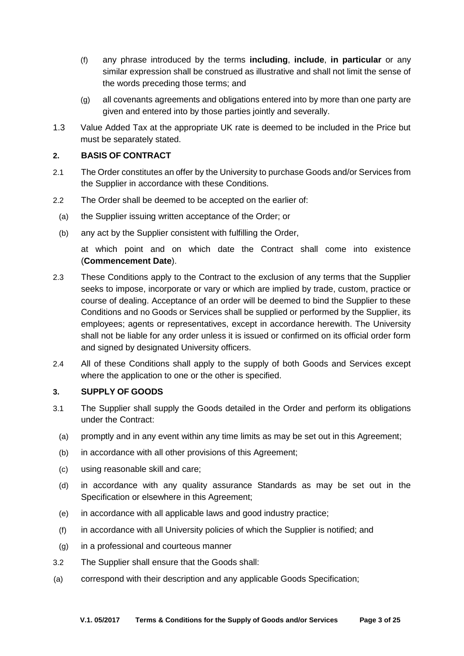- (f) any phrase introduced by the terms **including**, **include**, **in particular** or any similar expression shall be construed as illustrative and shall not limit the sense of the words preceding those terms; and
- (g) all covenants agreements and obligations entered into by more than one party are given and entered into by those parties jointly and severally.
- 1.3 Value Added Tax at the appropriate UK rate is deemed to be included in the Price but must be separately stated.

### **2. BASIS OF CONTRACT**

- 2.1 The Order constitutes an offer by the University to purchase Goods and/or Services from the Supplier in accordance with these Conditions.
- <span id="page-2-0"></span>2.2 The Order shall be deemed to be accepted on the earlier of:
	- (a) the Supplier issuing written acceptance of the Order; or
	- (b) any act by the Supplier consistent with fulfilling the Order,

at which point and on which date the Contract shall come into existence (**Commencement Date**).

- 2.3 These Conditions apply to the Contract to the exclusion of any terms that the Supplier seeks to impose, incorporate or vary or which are implied by trade, custom, practice or course of dealing. Acceptance of an order will be deemed to bind the Supplier to these Conditions and no Goods or Services shall be supplied or performed by the Supplier, its employees; agents or representatives, except in accordance herewith. The University shall not be liable for any order unless it is issued or confirmed on its official order form and signed by designated University officers.
- 2.4 All of these Conditions shall apply to the supply of both Goods and Services except where the application to one or the other is specified.

### **3. SUPPLY OF GOODS**

- <span id="page-2-1"></span>3.1 The Supplier shall supply the Goods detailed in the Order and perform its obligations under the Contract:
	- (a) promptly and in any event within any time limits as may be set out in this Agreement;
	- (b) in accordance with all other provisions of this Agreement;
	- (c) using reasonable skill and care;
	- (d) in accordance with any quality assurance Standards as may be set out in the Specification or elsewhere in this Agreement;
	- (e) in accordance with all applicable laws and good industry practice;
	- (f) in accordance with all University policies of which the Supplier is notified; and
- (g) in a professional and courteous manner
- 3.2 The Supplier shall ensure that the Goods shall:
- (a) correspond with their description and any applicable Goods Specification;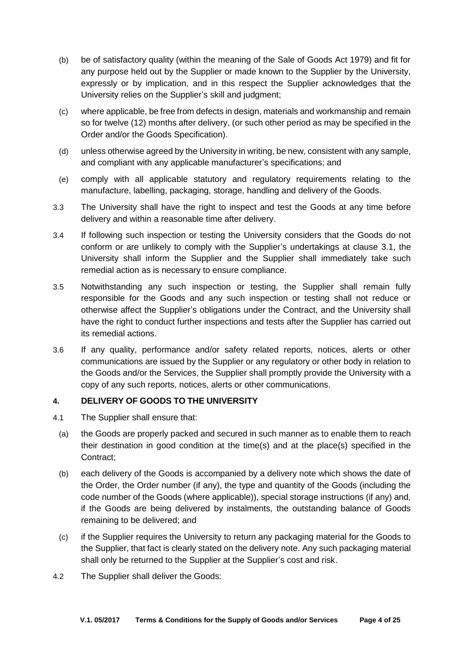- (b) be of satisfactory quality (within the meaning of the Sale of Goods Act 1979) and fit for any purpose held out by the Supplier or made known to the Supplier by the University, expressly or by implication, and in this respect the Supplier acknowledges that the University relies on the Supplier's skill and judgment;
- (c) where applicable, be free from defects in design, materials and workmanship and remain so for twelve (12) months after delivery, (or such other period as may be specified in the Order and/or the Goods Specification).
- (d) unless otherwise agreed by the University in writing, be new, consistent with any sample, and compliant with any applicable manufacturer's specifications; and
- (e) comply with all applicable statutory and regulatory requirements relating to the manufacture, labelling, packaging, storage, handling and delivery of the Goods.
- 3.3 The University shall have the right to inspect and test the Goods at any time before delivery and within a reasonable time after delivery.
- 3.4 If following such inspection or testing the University considers that the Goods do not conform or are unlikely to comply with the Supplier's undertakings at clause [3.1,](#page-2-1) the University shall inform the Supplier and the Supplier shall immediately take such remedial action as is necessary to ensure compliance.
- 3.5 Notwithstanding any such inspection or testing, the Supplier shall remain fully responsible for the Goods and any such inspection or testing shall not reduce or otherwise affect the Supplier's obligations under the Contract, and the University shall have the right to conduct further inspections and tests after the Supplier has carried out its remedial actions.
- 3.6 If any quality, performance and/or safety related reports, notices, alerts or other communications are issued by the Supplier or any regulatory or other body in relation to the Goods and/or the Services, the Supplier shall promptly provide the University with a copy of any such reports, notices, alerts or other communications.

## **4. DELIVERY OF GOODS TO THE UNIVERSITY**

- 4.1 The Supplier shall ensure that:
- (a) the Goods are properly packed and secured in such manner as to enable them to reach their destination in good condition at the time(s) and at the place(s) specified in the Contract;
- (b) each delivery of the Goods is accompanied by a delivery note which shows the date of the Order, the Order number (if any), the type and quantity of the Goods (including the code number of the Goods (where applicable)), special storage instructions (if any) and, if the Goods are being delivered by instalments, the outstanding balance of Goods remaining to be delivered; and
- (c) if the Supplier requires the University to return any packaging material for the Goods to the Supplier, that fact is clearly stated on the delivery note. Any such packaging material shall only be returned to the Supplier at the Supplier's cost and risk.
- 4.2 The Supplier shall deliver the Goods: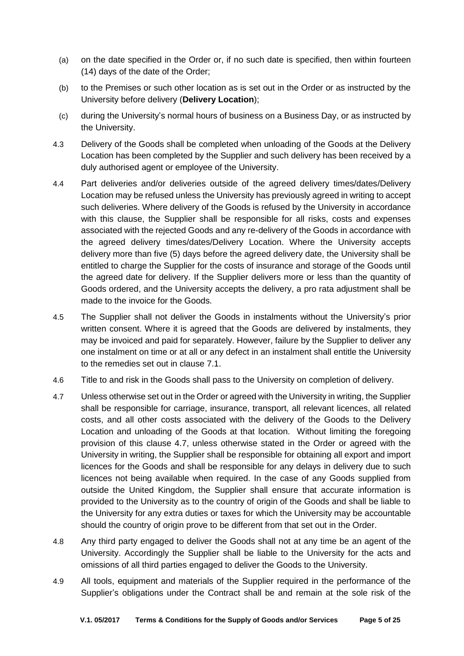- (a) on the date specified in the Order or, if no such date is specified, then within fourteen (14) days of the date of the Order;
- (b) to the Premises or such other location as is set out in the Order or as instructed by the University before delivery (**Delivery Location**);
- (c) during the University's normal hours of business on a Business Day, or as instructed by the University.
- 4.3 Delivery of the Goods shall be completed when unloading of the Goods at the Delivery Location has been completed by the Supplier and such delivery has been received by a duly authorised agent or employee of the University.
- 4.4 Part deliveries and/or deliveries outside of the agreed delivery times/dates/Delivery Location may be refused unless the University has previously agreed in writing to accept such deliveries. Where delivery of the Goods is refused by the University in accordance with this clause, the Supplier shall be responsible for all risks, costs and expenses associated with the rejected Goods and any re-delivery of the Goods in accordance with the agreed delivery times/dates/Delivery Location. Where the University accepts delivery more than five (5) days before the agreed delivery date, the University shall be entitled to charge the Supplier for the costs of insurance and storage of the Goods until the agreed date for delivery. If the Supplier delivers more or less than the quantity of Goods ordered, and the University accepts the delivery, a pro rata adjustment shall be made to the invoice for the Goods.
- 4.5 The Supplier shall not deliver the Goods in instalments without the University's prior written consent. Where it is agreed that the Goods are delivered by instalments, they may be invoiced and paid for separately. However, failure by the Supplier to deliver any one instalment on time or at all or any defect in an instalment shall entitle the University to the remedies set out in clause [7.1.](#page-6-0)
- 4.6 Title to and risk in the Goods shall pass to the University on completion of delivery.
- 4.7 Unless otherwise set out in the Order or agreed with the University in writing, the Supplier shall be responsible for carriage, insurance, transport, all relevant licences, all related costs, and all other costs associated with the delivery of the Goods to the Delivery Location and unloading of the Goods at that location. Without limiting the foregoing provision of this clause 4.7, unless otherwise stated in the Order or agreed with the University in writing, the Supplier shall be responsible for obtaining all export and import licences for the Goods and shall be responsible for any delays in delivery due to such licences not being available when required. In the case of any Goods supplied from outside the United Kingdom, the Supplier shall ensure that accurate information is provided to the University as to the country of origin of the Goods and shall be liable to the University for any extra duties or taxes for which the University may be accountable should the country of origin prove to be different from that set out in the Order.
- 4.8 Any third party engaged to deliver the Goods shall not at any time be an agent of the University. Accordingly the Supplier shall be liable to the University for the acts and omissions of all third parties engaged to deliver the Goods to the University.
- 4.9 All tools, equipment and materials of the Supplier required in the performance of the Supplier's obligations under the Contract shall be and remain at the sole risk of the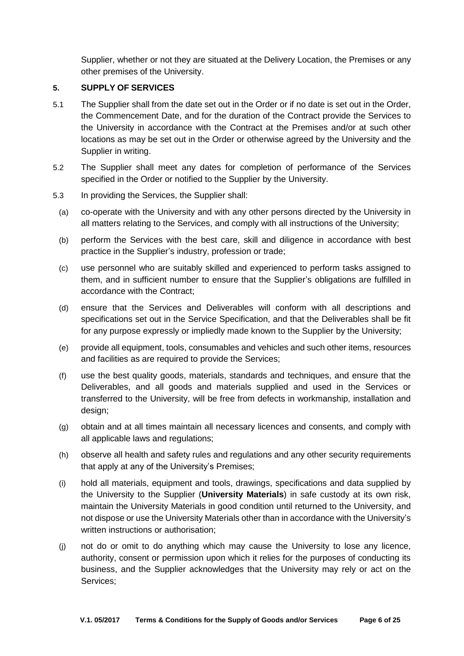Supplier, whether or not they are situated at the Delivery Location, the Premises or any other premises of the University.

### **5. SUPPLY OF SERVICES**

- 5.1 The Supplier shall from the date set out in the Order or if no date is set out in the Order, the Commencement Date, and for the duration of the Contract provide the Services to the University in accordance with the Contract at the Premises and/or at such other locations as may be set out in the Order or otherwise agreed by the University and the Supplier in writing.
- 5.2 The Supplier shall meet any dates for completion of performance of the Services specified in the Order or notified to the Supplier by the University.
- 5.3 In providing the Services, the Supplier shall:
- (a) co-operate with the University and with any other persons directed by the University in all matters relating to the Services, and comply with all instructions of the University;
- (b) perform the Services with the best care, skill and diligence in accordance with best practice in the Supplier's industry, profession or trade;
- (c) use personnel who are suitably skilled and experienced to perform tasks assigned to them, and in sufficient number to ensure that the Supplier's obligations are fulfilled in accordance with the Contract;
- (d) ensure that the Services and Deliverables will conform with all descriptions and specifications set out in the Service Specification, and that the Deliverables shall be fit for any purpose expressly or impliedly made known to the Supplier by the University;
- (e) provide all equipment, tools, consumables and vehicles and such other items, resources and facilities as are required to provide the Services;
- (f) use the best quality goods, materials, standards and techniques, and ensure that the Deliverables, and all goods and materials supplied and used in the Services or transferred to the University, will be free from defects in workmanship, installation and design;
- (g) obtain and at all times maintain all necessary licences and consents, and comply with all applicable laws and regulations;
- (h) observe all health and safety rules and regulations and any other security requirements that apply at any of the University's Premises;
- <span id="page-5-0"></span>(i) hold all materials, equipment and tools, drawings, specifications and data supplied by the University to the Supplier (**University Materials**) in safe custody at its own risk, maintain the University Materials in good condition until returned to the University, and not dispose or use the University Materials other than in accordance with the University's written instructions or authorisation;
- (j) not do or omit to do anything which may cause the University to lose any licence, authority, consent or permission upon which it relies for the purposes of conducting its business, and the Supplier acknowledges that the University may rely or act on the Services;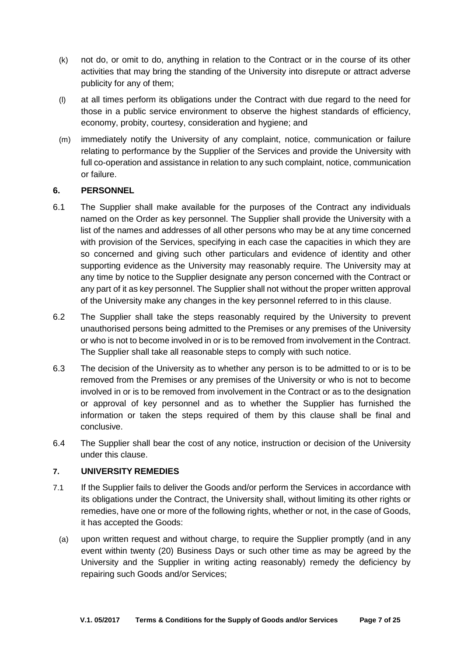- (k) not do, or omit to do, anything in relation to the Contract or in the course of its other activities that may bring the standing of the University into disrepute or attract adverse publicity for any of them;
- (l) at all times perform its obligations under the Contract with due regard to the need for those in a public service environment to observe the highest standards of efficiency, economy, probity, courtesy, consideration and hygiene; and
- (m) immediately notify the University of any complaint, notice, communication or failure relating to performance by the Supplier of the Services and provide the University with full co-operation and assistance in relation to any such complaint, notice, communication or failure.

## **6. PERSONNEL**

- 6.1 The Supplier shall make available for the purposes of the Contract any individuals named on the Order as key personnel. The Supplier shall provide the University with a list of the names and addresses of all other persons who may be at any time concerned with provision of the Services, specifying in each case the capacities in which they are so concerned and giving such other particulars and evidence of identity and other supporting evidence as the University may reasonably require. The University may at any time by notice to the Supplier designate any person concerned with the Contract or any part of it as key personnel. The Supplier shall not without the proper written approval of the University make any changes in the key personnel referred to in this clause.
- 6.2 The Supplier shall take the steps reasonably required by the University to prevent unauthorised persons being admitted to the Premises or any premises of the University or who is not to become involved in or is to be removed from involvement in the Contract. The Supplier shall take all reasonable steps to comply with such notice.
- 6.3 The decision of the University as to whether any person is to be admitted to or is to be removed from the Premises or any premises of the University or who is not to become involved in or is to be removed from involvement in the Contract or as to the designation or approval of key personnel and as to whether the Supplier has furnished the information or taken the steps required of them by this clause shall be final and conclusive.
- 6.4 The Supplier shall bear the cost of any notice, instruction or decision of the University under this clause.

### **7. UNIVERSITY REMEDIES**

- <span id="page-6-0"></span>7.1 If the Supplier fails to deliver the Goods and/or perform the Services in accordance with its obligations under the Contract, the University shall, without limiting its other rights or remedies, have one or more of the following rights, whether or not, in the case of Goods, it has accepted the Goods:
	- (a) upon written request and without charge, to require the Supplier promptly (and in any event within twenty (20) Business Days or such other time as may be agreed by the University and the Supplier in writing acting reasonably) remedy the deficiency by repairing such Goods and/or Services;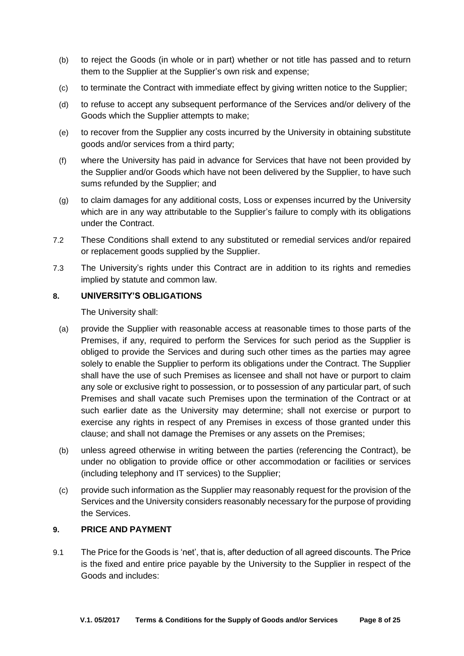- (b) to reject the Goods (in whole or in part) whether or not title has passed and to return them to the Supplier at the Supplier's own risk and expense;
- (c) to terminate the Contract with immediate effect by giving written notice to the Supplier;
- (d) to refuse to accept any subsequent performance of the Services and/or delivery of the Goods which the Supplier attempts to make;
- (e) to recover from the Supplier any costs incurred by the University in obtaining substitute goods and/or services from a third party;
- (f) where the University has paid in advance for Services that have not been provided by the Supplier and/or Goods which have not been delivered by the Supplier, to have such sums refunded by the Supplier; and
- (g) to claim damages for any additional costs, Loss or expenses incurred by the University which are in any way attributable to the Supplier's failure to comply with its obligations under the Contract.
- 7.2 These Conditions shall extend to any substituted or remedial services and/or repaired or replacement goods supplied by the Supplier.
- 7.3 The University's rights under this Contract are in addition to its rights and remedies implied by statute and common law.

### **8. UNIVERSITY'S OBLIGATIONS**

The University shall:

- (a) provide the Supplier with reasonable access at reasonable times to those parts of the Premises, if any, required to perform the Services for such period as the Supplier is obliged to provide the Services and during such other times as the parties may agree solely to enable the Supplier to perform its obligations under the Contract. The Supplier shall have the use of such Premises as licensee and shall not have or purport to claim any sole or exclusive right to possession, or to possession of any particular part, of such Premises and shall vacate such Premises upon the termination of the Contract or at such earlier date as the University may determine; shall not exercise or purport to exercise any rights in respect of any Premises in excess of those granted under this clause; and shall not damage the Premises or any assets on the Premises;
- (b) unless agreed otherwise in writing between the parties (referencing the Contract), be under no obligation to provide office or other accommodation or facilities or services (including telephony and IT services) to the Supplier;
- (c) provide such information as the Supplier may reasonably request for the provision of the Services and the University considers reasonably necessary for the purpose of providing the Services.

## **9. PRICE AND PAYMENT**

9.1 The Price for the Goods is 'net', that is, after deduction of all agreed discounts. The Price is the fixed and entire price payable by the University to the Supplier in respect of the Goods and includes: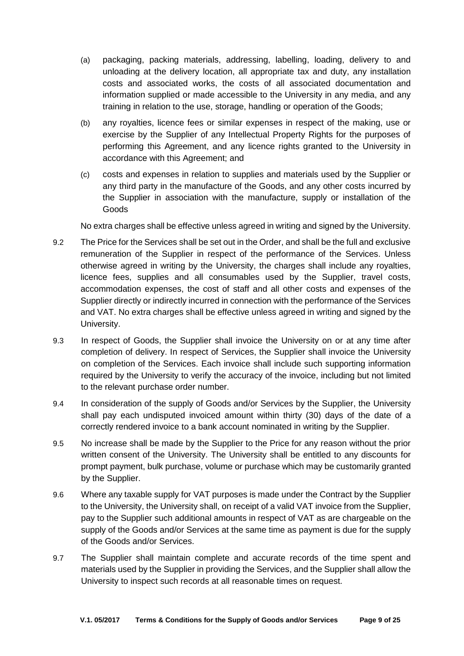- (a) packaging, packing materials, addressing, labelling, loading, delivery to and unloading at the delivery location, all appropriate tax and duty, any installation costs and associated works, the costs of all associated documentation and information supplied or made accessible to the University in any media, and any training in relation to the use, storage, handling or operation of the Goods;
- (b) any royalties, licence fees or similar expenses in respect of the making, use or exercise by the Supplier of any Intellectual Property Rights for the purposes of performing this Agreement, and any licence rights granted to the University in accordance with this Agreement; and
- (c) costs and expenses in relation to supplies and materials used by the Supplier or any third party in the manufacture of the Goods, and any other costs incurred by the Supplier in association with the manufacture, supply or installation of the Goods

No extra charges shall be effective unless agreed in writing and signed by the University.

- 9.2 The Price for the Services shall be set out in the Order, and shall be the full and exclusive remuneration of the Supplier in respect of the performance of the Services. Unless otherwise agreed in writing by the University, the charges shall include any royalties, licence fees, supplies and all consumables used by the Supplier, travel costs, accommodation expenses, the cost of staff and all other costs and expenses of the Supplier directly or indirectly incurred in connection with the performance of the Services and VAT. No extra charges shall be effective unless agreed in writing and signed by the University.
- 9.3 In respect of Goods, the Supplier shall invoice the University on or at any time after completion of delivery. In respect of Services, the Supplier shall invoice the University on completion of the Services. Each invoice shall include such supporting information required by the University to verify the accuracy of the invoice, including but not limited to the relevant purchase order number.
- 9.4 In consideration of the supply of Goods and/or Services by the Supplier, the University shall pay each undisputed invoiced amount within thirty (30) days of the date of a correctly rendered invoice to a bank account nominated in writing by the Supplier.
- 9.5 No increase shall be made by the Supplier to the Price for any reason without the prior written consent of the University. The University shall be entitled to any discounts for prompt payment, bulk purchase, volume or purchase which may be customarily granted by the Supplier.
- 9.6 Where any taxable supply for VAT purposes is made under the Contract by the Supplier to the University, the University shall, on receipt of a valid VAT invoice from the Supplier, pay to the Supplier such additional amounts in respect of VAT as are chargeable on the supply of the Goods and/or Services at the same time as payment is due for the supply of the Goods and/or Services.
- 9.7 The Supplier shall maintain complete and accurate records of the time spent and materials used by the Supplier in providing the Services, and the Supplier shall allow the University to inspect such records at all reasonable times on request.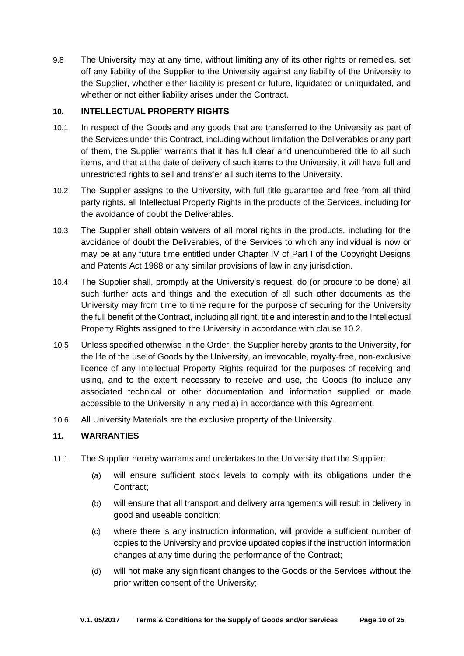9.8 The University may at any time, without limiting any of its other rights or remedies, set off any liability of the Supplier to the University against any liability of the University to the Supplier, whether either liability is present or future, liquidated or unliquidated, and whether or not either liability arises under the Contract.

## **10. INTELLECTUAL PROPERTY RIGHTS**

- 10.1 In respect of the Goods and any goods that are transferred to the University as part of the Services under this Contract, including without limitation the Deliverables or any part of them, the Supplier warrants that it has full clear and unencumbered title to all such items, and that at the date of delivery of such items to the University, it will have full and unrestricted rights to sell and transfer all such items to the University.
- 10.2 The Supplier assigns to the University, with full title guarantee and free from all third party rights, all Intellectual Property Rights in the products of the Services, including for the avoidance of doubt the Deliverables.
- 10.3 The Supplier shall obtain waivers of all moral rights in the products, including for the avoidance of doubt the Deliverables, of the Services to which any individual is now or may be at any future time entitled under Chapter IV of Part I of the Copyright Designs and Patents Act 1988 or any similar provisions of law in any jurisdiction.
- 10.4 The Supplier shall, promptly at the University's request, do (or procure to be done) all such further acts and things and the execution of all such other documents as the University may from time to time require for the purpose of securing for the University the full benefit of the Contract, including all right, title and interest in and to the Intellectual Property Rights assigned to the University in accordance with clause 10.2.
- 10.5 Unless specified otherwise in the Order, the Supplier hereby grants to the University, for the life of the use of Goods by the University, an irrevocable, royalty-free, non-exclusive licence of any Intellectual Property Rights required for the purposes of receiving and using, and to the extent necessary to receive and use, the Goods (to include any associated technical or other documentation and information supplied or made accessible to the University in any media) in accordance with this Agreement.
- 10.6 All University Materials are the exclusive property of the University.

## **11. WARRANTIES**

- 11.1 The Supplier hereby warrants and undertakes to the University that the Supplier:
	- (a) will ensure sufficient stock levels to comply with its obligations under the Contract;
	- (b) will ensure that all transport and delivery arrangements will result in delivery in good and useable condition;
	- (c) where there is any instruction information, will provide a sufficient number of copies to the University and provide updated copies if the instruction information changes at any time during the performance of the Contract;
	- (d) will not make any significant changes to the Goods or the Services without the prior written consent of the University;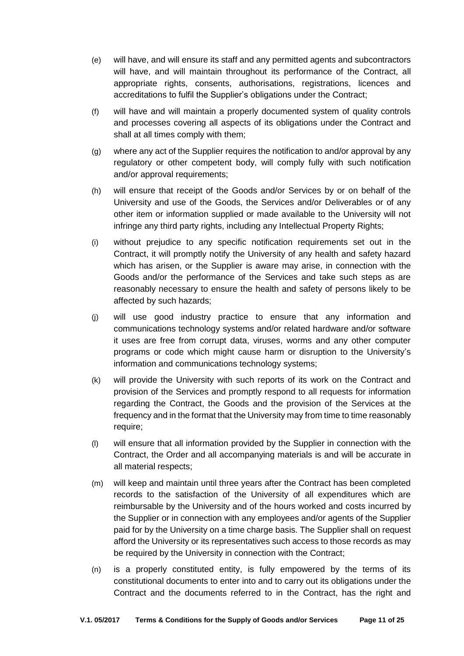- (e) will have, and will ensure its staff and any permitted agents and subcontractors will have, and will maintain throughout its performance of the Contract, all appropriate rights, consents, authorisations, registrations, licences and accreditations to fulfil the Supplier's obligations under the Contract;
- (f) will have and will maintain a properly documented system of quality controls and processes covering all aspects of its obligations under the Contract and shall at all times comply with them;
- (g) where any act of the Supplier requires the notification to and/or approval by any regulatory or other competent body, will comply fully with such notification and/or approval requirements;
- (h) will ensure that receipt of the Goods and/or Services by or on behalf of the University and use of the Goods, the Services and/or Deliverables or of any other item or information supplied or made available to the University will not infringe any third party rights, including any Intellectual Property Rights;
- (i) without prejudice to any specific notification requirements set out in the Contract, it will promptly notify the University of any health and safety hazard which has arisen, or the Supplier is aware may arise, in connection with the Goods and/or the performance of the Services and take such steps as are reasonably necessary to ensure the health and safety of persons likely to be affected by such hazards;
- (j) will use good industry practice to ensure that any information and communications technology systems and/or related hardware and/or software it uses are free from corrupt data, viruses, worms and any other computer programs or code which might cause harm or disruption to the University's information and communications technology systems;
- (k) will provide the University with such reports of its work on the Contract and provision of the Services and promptly respond to all requests for information regarding the Contract, the Goods and the provision of the Services at the frequency and in the format that the University may from time to time reasonably require;
- (l) will ensure that all information provided by the Supplier in connection with the Contract, the Order and all accompanying materials is and will be accurate in all material respects;
- (m) will keep and maintain until three years after the Contract has been completed records to the satisfaction of the University of all expenditures which are reimbursable by the University and of the hours worked and costs incurred by the Supplier or in connection with any employees and/or agents of the Supplier paid for by the University on a time charge basis. The Supplier shall on request afford the University or its representatives such access to those records as may be required by the University in connection with the Contract;
- (n) is a properly constituted entity, is fully empowered by the terms of its constitutional documents to enter into and to carry out its obligations under the Contract and the documents referred to in the Contract, has the right and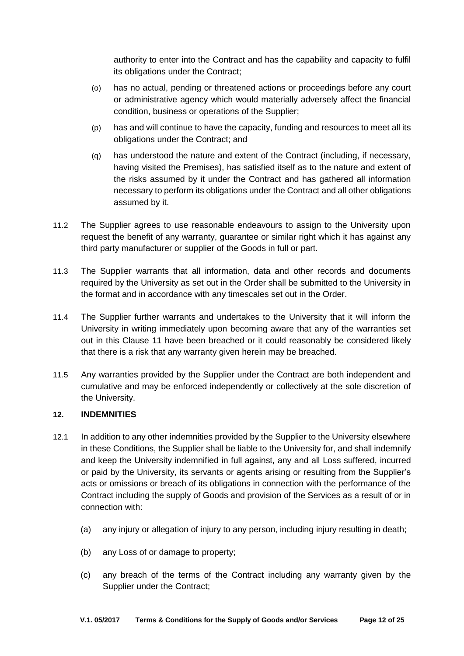authority to enter into the Contract and has the capability and capacity to fulfil its obligations under the Contract;

- (o) has no actual, pending or threatened actions or proceedings before any court or administrative agency which would materially adversely affect the financial condition, business or operations of the Supplier;
- (p) has and will continue to have the capacity, funding and resources to meet all its obligations under the Contract; and
- (q) has understood the nature and extent of the Contract (including, if necessary, having visited the Premises), has satisfied itself as to the nature and extent of the risks assumed by it under the Contract and has gathered all information necessary to perform its obligations under the Contract and all other obligations assumed by it.
- 11.2 The Supplier agrees to use reasonable endeavours to assign to the University upon request the benefit of any warranty, guarantee or similar right which it has against any third party manufacturer or supplier of the Goods in full or part.
- 11.3 The Supplier warrants that all information, data and other records and documents required by the University as set out in the Order shall be submitted to the University in the format and in accordance with any timescales set out in the Order.
- 11.4 The Supplier further warrants and undertakes to the University that it will inform the University in writing immediately upon becoming aware that any of the warranties set out in this Clause 11 have been breached or it could reasonably be considered likely that there is a risk that any warranty given herein may be breached.
- 11.5 Any warranties provided by the Supplier under the Contract are both independent and cumulative and may be enforced independently or collectively at the sole discretion of the University.

### **12. INDEMNITIES**

- 12.1 In addition to any other indemnities provided by the Supplier to the University elsewhere in these Conditions, the Supplier shall be liable to the University for, and shall indemnify and keep the University indemnified in full against, any and all Loss suffered, incurred or paid by the University, its servants or agents arising or resulting from the Supplier's acts or omissions or breach of its obligations in connection with the performance of the Contract including the supply of Goods and provision of the Services as a result of or in connection with:
	- (a) any injury or allegation of injury to any person, including injury resulting in death;
	- (b) any Loss of or damage to property;
	- (c) any breach of the terms of the Contract including any warranty given by the Supplier under the Contract;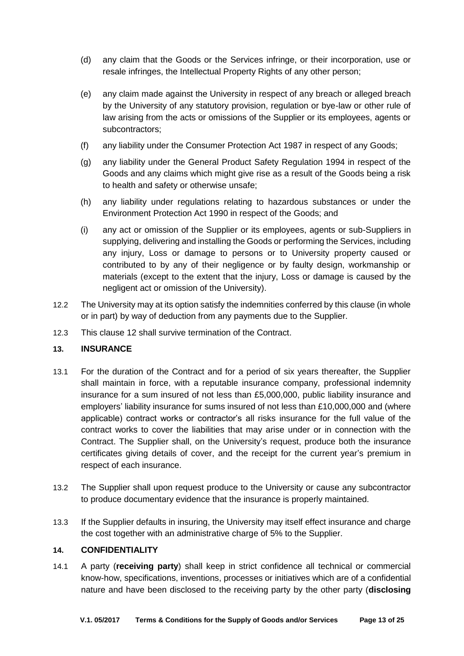- (d) any claim that the Goods or the Services infringe, or their incorporation, use or resale infringes, the Intellectual Property Rights of any other person;
- (e) any claim made against the University in respect of any breach or alleged breach by the University of any statutory provision, regulation or bye-law or other rule of law arising from the acts or omissions of the Supplier or its employees, agents or subcontractors;
- (f) any liability under the Consumer Protection Act 1987 in respect of any Goods;
- (g) any liability under the General Product Safety Regulation 1994 in respect of the Goods and any claims which might give rise as a result of the Goods being a risk to health and safety or otherwise unsafe;
- (h) any liability under regulations relating to hazardous substances or under the Environment Protection Act 1990 in respect of the Goods; and
- (i) any act or omission of the Supplier or its employees, agents or sub-Suppliers in supplying, delivering and installing the Goods or performing the Services, including any injury, Loss or damage to persons or to University property caused or contributed to by any of their negligence or by faulty design, workmanship or materials (except to the extent that the injury, Loss or damage is caused by the negligent act or omission of the University).
- 12.2 The University may at its option satisfy the indemnities conferred by this clause (in whole or in part) by way of deduction from any payments due to the Supplier.
- 12.3 This clause 12 shall survive termination of the Contract.

## **13. INSURANCE**

- 13.1 For the duration of the Contract and for a period of six years thereafter, the Supplier shall maintain in force, with a reputable insurance company, professional indemnity insurance for a sum insured of not less than £5,000,000, public liability insurance and employers' liability insurance for sums insured of not less than £10,000,000 and (where applicable) contract works or contractor's all risks insurance for the full value of the contract works to cover the liabilities that may arise under or in connection with the Contract. The Supplier shall, on the University's request, produce both the insurance certificates giving details of cover, and the receipt for the current year's premium in respect of each insurance.
- 13.2 The Supplier shall upon request produce to the University or cause any subcontractor to produce documentary evidence that the insurance is properly maintained.
- 13.3 If the Supplier defaults in insuring, the University may itself effect insurance and charge the cost together with an administrative charge of 5% to the Supplier.

## **14. CONFIDENTIALITY**

14.1 A party (**receiving party**) shall keep in strict confidence all technical or commercial know-how, specifications, inventions, processes or initiatives which are of a confidential nature and have been disclosed to the receiving party by the other party (**disclosing**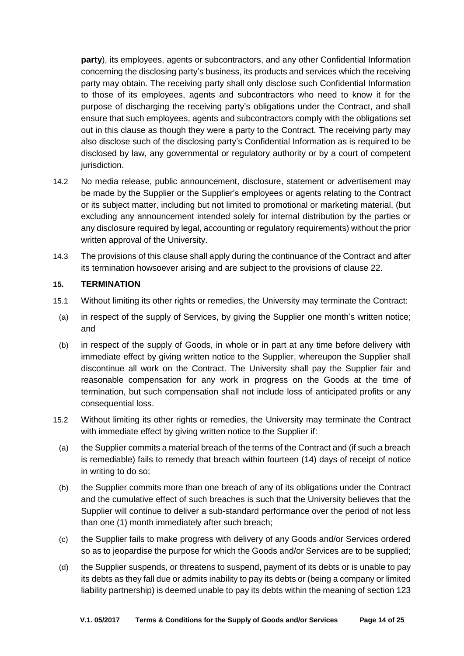**party**), its employees, agents or subcontractors, and any other Confidential Information concerning the disclosing party's business, its products and services which the receiving party may obtain. The receiving party shall only disclose such Confidential Information to those of its employees, agents and subcontractors who need to know it for the purpose of discharging the receiving party's obligations under the Contract, and shall ensure that such employees, agents and subcontractors comply with the obligations set out in this clause as though they were a party to the Contract. The receiving party may also disclose such of the disclosing party's Confidential Information as is required to be disclosed by law, any governmental or regulatory authority or by a court of competent jurisdiction.

- 14.2 No media release, public announcement, disclosure, statement or advertisement may be made by the Supplier or the Supplier's employees or agents relating to the Contract or its subject matter, including but not limited to promotional or marketing material, (but excluding any announcement intended solely for internal distribution by the parties or any disclosure required by legal, accounting or regulatory requirements) without the prior written approval of the University.
- 14.3 The provisions of this clause shall apply during the continuance of the Contract and after its termination howsoever arising and are subject to the provisions of clause 22.

### **15. TERMINATION**

- 15.1 Without limiting its other rights or remedies, the University may terminate the Contract:
- (a) in respect of the supply of Services, by giving the Supplier one month's written notice; and
- (b) in respect of the supply of Goods, in whole or in part at any time before delivery with immediate effect by giving written notice to the Supplier, whereupon the Supplier shall discontinue all work on the Contract. The University shall pay the Supplier fair and reasonable compensation for any work in progress on the Goods at the time of termination, but such compensation shall not include loss of anticipated profits or any consequential loss.
- <span id="page-13-0"></span>15.2 Without limiting its other rights or remedies, the University may terminate the Contract with immediate effect by giving written notice to the Supplier if:
	- (a) the Supplier commits a material breach of the terms of the Contract and (if such a breach is remediable) fails to remedy that breach within fourteen (14) days of receipt of notice in writing to do so;
	- (b) the Supplier commits more than one breach of any of its obligations under the Contract and the cumulative effect of such breaches is such that the University believes that the Supplier will continue to deliver a sub-standard performance over the period of not less than one (1) month immediately after such breach;
	- (c) the Supplier fails to make progress with delivery of any Goods and/or Services ordered so as to jeopardise the purpose for which the Goods and/or Services are to be supplied;
	- (d) the Supplier suspends, or threatens to suspend, payment of its debts or is unable to pay its debts as they fall due or admits inability to pay its debts or (being a company or limited liability partnership) is deemed unable to pay its debts within the meaning of section 123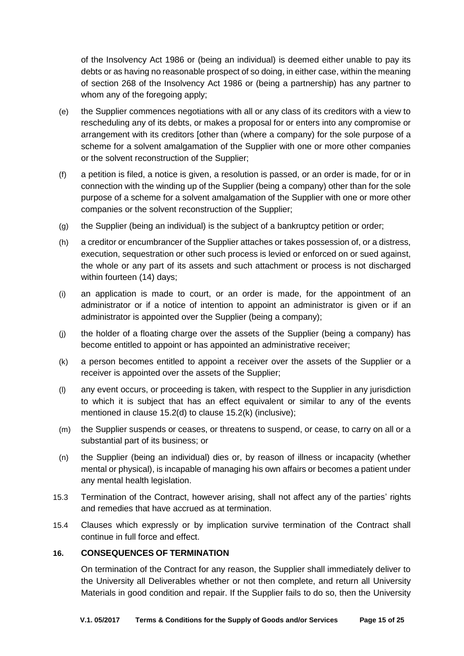of the Insolvency Act 1986 or (being an individual) is deemed either unable to pay its debts or as having no reasonable prospect of so doing, in either case, within the meaning of section 268 of the Insolvency Act 1986 or (being a partnership) has any partner to whom any of the foregoing apply;

- (e) the Supplier commences negotiations with all or any class of its creditors with a view to rescheduling any of its debts, or makes a proposal for or enters into any compromise or arrangement with its creditors [other than (where a company) for the sole purpose of a scheme for a solvent amalgamation of the Supplier with one or more other companies or the solvent reconstruction of the Supplier;
- (f) a petition is filed, a notice is given, a resolution is passed, or an order is made, for or in connection with the winding up of the Supplier (being a company) other than for the sole purpose of a scheme for a solvent amalgamation of the Supplier with one or more other companies or the solvent reconstruction of the Supplier;
- (g) the Supplier (being an individual) is the subject of a bankruptcy petition or order;
- (h) a creditor or encumbrancer of the Supplier attaches or takes possession of, or a distress, execution, sequestration or other such process is levied or enforced on or sued against, the whole or any part of its assets and such attachment or process is not discharged within fourteen (14) days;
- (i) an application is made to court, or an order is made, for the appointment of an administrator or if a notice of intention to appoint an administrator is given or if an administrator is appointed over the Supplier (being a company);
- (j) the holder of a floating charge over the assets of the Supplier (being a company) has become entitled to appoint or has appointed an administrative receiver;
- <span id="page-14-0"></span>(k) a person becomes entitled to appoint a receiver over the assets of the Supplier or a receiver is appointed over the assets of the Supplier;
- (l) any event occurs, or proceeding is taken, with respect to the Supplier in any jurisdiction to which it is subject that has an effect equivalent or similar to any of the events mentioned in clause [15.2\(d\)](#page-13-0) to clause [15.2\(k\)](#page-14-0) (inclusive);
- (m) the Supplier suspends or ceases, or threatens to suspend, or cease, to carry on all or a substantial part of its business; or
- (n) the Supplier (being an individual) dies or, by reason of illness or incapacity (whether mental or physical), is incapable of managing his own affairs or becomes a patient under any mental health legislation.
- 15.3 Termination of the Contract, however arising, shall not affect any of the parties' rights and remedies that have accrued as at termination.
- 15.4 Clauses which expressly or by implication survive termination of the Contract shall continue in full force and effect.

### **16. CONSEQUENCES OF TERMINATION**

On termination of the Contract for any reason, the Supplier shall immediately deliver to the University all Deliverables whether or not then complete, and return all University Materials in good condition and repair. If the Supplier fails to do so, then the University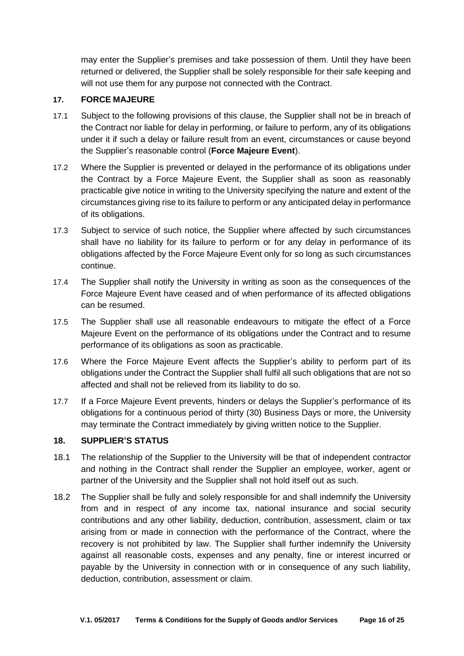may enter the Supplier's premises and take possession of them. Until they have been returned or delivered, the Supplier shall be solely responsible for their safe keeping and will not use them for any purpose not connected with the Contract.

## **17. FORCE MAJEURE**

- 17.1 Subject to the following provisions of this clause, the Supplier shall not be in breach of the Contract nor liable for delay in performing, or failure to perform, any of its obligations under it if such a delay or failure result from an event, circumstances or cause beyond the Supplier's reasonable control (**Force Majeure Event**).
- 17.2 Where the Supplier is prevented or delayed in the performance of its obligations under the Contract by a Force Majeure Event, the Supplier shall as soon as reasonably practicable give notice in writing to the University specifying the nature and extent of the circumstances giving rise to its failure to perform or any anticipated delay in performance of its obligations.
- 17.3 Subject to service of such notice, the Supplier where affected by such circumstances shall have no liability for its failure to perform or for any delay in performance of its obligations affected by the Force Majeure Event only for so long as such circumstances continue.
- 17.4 The Supplier shall notify the University in writing as soon as the consequences of the Force Majeure Event have ceased and of when performance of its affected obligations can be resumed.
- 17.5 The Supplier shall use all reasonable endeavours to mitigate the effect of a Force Majeure Event on the performance of its obligations under the Contract and to resume performance of its obligations as soon as practicable.
- 17.6 Where the Force Majeure Event affects the Supplier's ability to perform part of its obligations under the Contract the Supplier shall fulfil all such obligations that are not so affected and shall not be relieved from its liability to do so.
- 17.7 If a Force Majeure Event prevents, hinders or delays the Supplier's performance of its obligations for a continuous period of thirty (30) Business Days or more, the University may terminate the Contract immediately by giving written notice to the Supplier.

### **18. SUPPLIER'S STATUS**

- 18.1 The relationship of the Supplier to the University will be that of independent contractor and nothing in the Contract shall render the Supplier an employee, worker, agent or partner of the University and the Supplier shall not hold itself out as such.
- 18.2 The Supplier shall be fully and solely responsible for and shall indemnify the University from and in respect of any income tax, national insurance and social security contributions and any other liability, deduction, contribution, assessment, claim or tax arising from or made in connection with the performance of the Contract, where the recovery is not prohibited by law. The Supplier shall further indemnify the University against all reasonable costs, expenses and any penalty, fine or interest incurred or payable by the University in connection with or in consequence of any such liability, deduction, contribution, assessment or claim.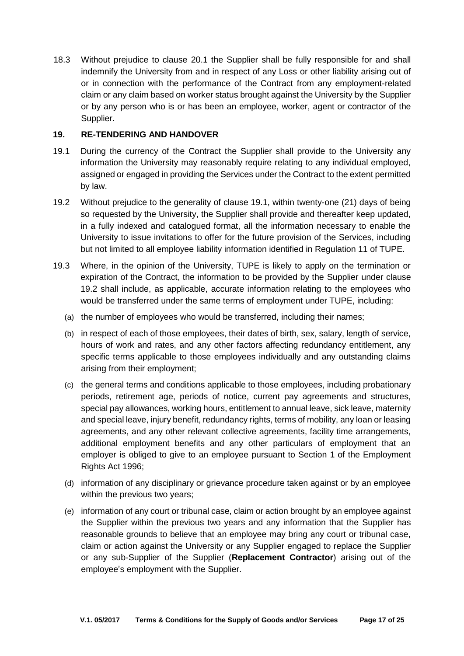18.3 Without prejudice to clause 20.1 the Supplier shall be fully responsible for and shall indemnify the University from and in respect of any Loss or other liability arising out of or in connection with the performance of the Contract from any employment-related claim or any claim based on worker status brought against the University by the Supplier or by any person who is or has been an employee, worker, agent or contractor of the Supplier.

### **19. RE-TENDERING AND HANDOVER**

- 19.1 During the currency of the Contract the Supplier shall provide to the University any information the University may reasonably require relating to any individual employed, assigned or engaged in providing the Services under the Contract to the extent permitted by law.
- 19.2 Without prejudice to the generality of clause 19.1, within twenty-one (21) days of being so requested by the University, the Supplier shall provide and thereafter keep updated, in a fully indexed and catalogued format, all the information necessary to enable the University to issue invitations to offer for the future provision of the Services, including but not limited to all employee liability information identified in Regulation 11 of TUPE.
- 19.3 Where, in the opinion of the University, TUPE is likely to apply on the termination or expiration of the Contract, the information to be provided by the Supplier under clause 19.2 shall include, as applicable, accurate information relating to the employees who would be transferred under the same terms of employment under TUPE, including:
	- (a) the number of employees who would be transferred, including their names;
	- (b) in respect of each of those employees, their dates of birth, sex, salary, length of service, hours of work and rates, and any other factors affecting redundancy entitlement, any specific terms applicable to those employees individually and any outstanding claims arising from their employment;
	- (c) the general terms and conditions applicable to those employees, including probationary periods, retirement age, periods of notice, current pay agreements and structures, special pay allowances, working hours, entitlement to annual leave, sick leave, maternity and special leave, injury benefit, redundancy rights, terms of mobility, any loan or leasing agreements, and any other relevant collective agreements, facility time arrangements, additional employment benefits and any other particulars of employment that an employer is obliged to give to an employee pursuant to Section 1 of the Employment Rights Act 1996;
	- (d) information of any disciplinary or grievance procedure taken against or by an employee within the previous two years;
	- (e) information of any court or tribunal case, claim or action brought by an employee against the Supplier within the previous two years and any information that the Supplier has reasonable grounds to believe that an employee may bring any court or tribunal case, claim or action against the University or any Supplier engaged to replace the Supplier or any sub-Supplier of the Supplier (**Replacement Contractor**) arising out of the employee's employment with the Supplier.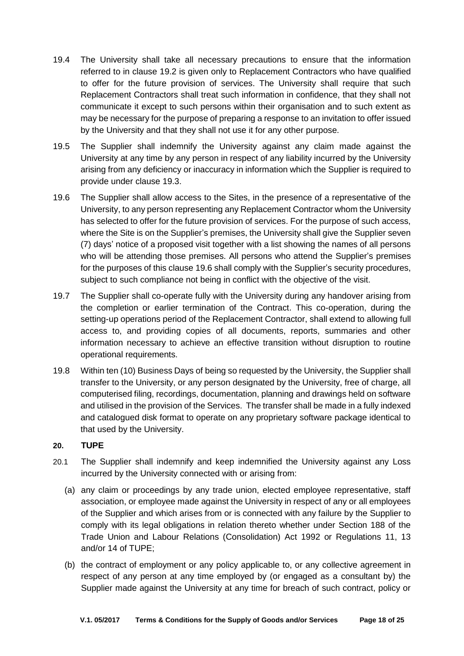- 19.4 The University shall take all necessary precautions to ensure that the information referred to in clause 19.2 is given only to Replacement Contractors who have qualified to offer for the future provision of services. The University shall require that such Replacement Contractors shall treat such information in confidence, that they shall not communicate it except to such persons within their organisation and to such extent as may be necessary for the purpose of preparing a response to an invitation to offer issued by the University and that they shall not use it for any other purpose.
- 19.5 The Supplier shall indemnify the University against any claim made against the University at any time by any person in respect of any liability incurred by the University arising from any deficiency or inaccuracy in information which the Supplier is required to provide under clause 19.3.
- 19.6 The Supplier shall allow access to the Sites, in the presence of a representative of the University, to any person representing any Replacement Contractor whom the University has selected to offer for the future provision of services. For the purpose of such access, where the Site is on the Supplier's premises, the University shall give the Supplier seven (7) days' notice of a proposed visit together with a list showing the names of all persons who will be attending those premises. All persons who attend the Supplier's premises for the purposes of this clause 19.6 shall comply with the Supplier's security procedures, subject to such compliance not being in conflict with the objective of the visit.
- 19.7 The Supplier shall co-operate fully with the University during any handover arising from the completion or earlier termination of the Contract. This co-operation, during the setting-up operations period of the Replacement Contractor, shall extend to allowing full access to, and providing copies of all documents, reports, summaries and other information necessary to achieve an effective transition without disruption to routine operational requirements.
- 19.8 Within ten (10) Business Days of being so requested by the University, the Supplier shall transfer to the University, or any person designated by the University, free of charge, all computerised filing, recordings, documentation, planning and drawings held on software and utilised in the provision of the Services. The transfer shall be made in a fully indexed and catalogued disk format to operate on any proprietary software package identical to that used by the University.

## **20. TUPE**

- 20.1 The Supplier shall indemnify and keep indemnified the University against any Loss incurred by the University connected with or arising from:
	- (a) any claim or proceedings by any trade union, elected employee representative, staff association, or employee made against the University in respect of any or all employees of the Supplier and which arises from or is connected with any failure by the Supplier to comply with its legal obligations in relation thereto whether under Section 188 of the Trade Union and Labour Relations (Consolidation) Act 1992 or Regulations 11, 13 and/or 14 of TUPE;
	- (b) the contract of employment or any policy applicable to, or any collective agreement in respect of any person at any time employed by (or engaged as a consultant by) the Supplier made against the University at any time for breach of such contract, policy or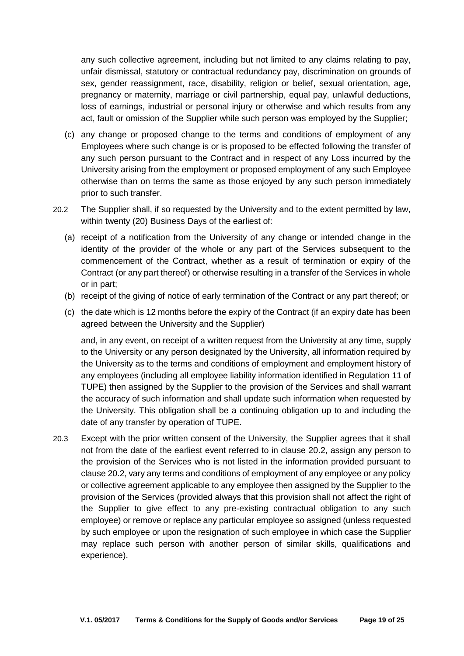any such collective agreement, including but not limited to any claims relating to pay, unfair dismissal, statutory or contractual redundancy pay, discrimination on grounds of sex, gender reassignment, race, disability, religion or belief, sexual orientation, age, pregnancy or maternity, marriage or civil partnership, equal pay, unlawful deductions, loss of earnings, industrial or personal injury or otherwise and which results from any act, fault or omission of the Supplier while such person was employed by the Supplier;

- (c) any change or proposed change to the terms and conditions of employment of any Employees where such change is or is proposed to be effected following the transfer of any such person pursuant to the Contract and in respect of any Loss incurred by the University arising from the employment or proposed employment of any such Employee otherwise than on terms the same as those enjoyed by any such person immediately prior to such transfer.
- 20.2 The Supplier shall, if so requested by the University and to the extent permitted by law, within twenty (20) Business Days of the earliest of:
	- (a) receipt of a notification from the University of any change or intended change in the identity of the provider of the whole or any part of the Services subsequent to the commencement of the Contract, whether as a result of termination or expiry of the Contract (or any part thereof) or otherwise resulting in a transfer of the Services in whole or in part;
	- (b) receipt of the giving of notice of early termination of the Contract or any part thereof; or
	- (c) the date which is 12 months before the expiry of the Contract (if an expiry date has been agreed between the University and the Supplier)

and, in any event, on receipt of a written request from the University at any time, supply to the University or any person designated by the University, all information required by the University as to the terms and conditions of employment and employment history of any employees (including all employee liability information identified in Regulation 11 of TUPE) then assigned by the Supplier to the provision of the Services and shall warrant the accuracy of such information and shall update such information when requested by the University. This obligation shall be a continuing obligation up to and including the date of any transfer by operation of TUPE.

20.3 Except with the prior written consent of the University, the Supplier agrees that it shall not from the date of the earliest event referred to in clause 20.2, assign any person to the provision of the Services who is not listed in the information provided pursuant to clause 20.2, vary any terms and conditions of employment of any employee or any policy or collective agreement applicable to any employee then assigned by the Supplier to the provision of the Services (provided always that this provision shall not affect the right of the Supplier to give effect to any pre-existing contractual obligation to any such employee) or remove or replace any particular employee so assigned (unless requested by such employee or upon the resignation of such employee in which case the Supplier may replace such person with another person of similar skills, qualifications and experience).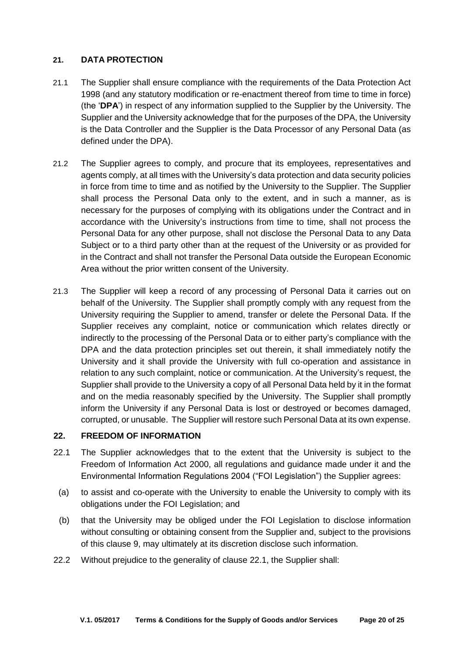### **21. DATA PROTECTION**

- 21.1 The Supplier shall ensure compliance with the requirements of the Data Protection Act 1998 (and any statutory modification or re-enactment thereof from time to time in force) (the '**DPA**') in respect of any information supplied to the Supplier by the University. The Supplier and the University acknowledge that for the purposes of the DPA, the University is the Data Controller and the Supplier is the Data Processor of any Personal Data (as defined under the DPA).
- 21.2 The Supplier agrees to comply, and procure that its employees, representatives and agents comply, at all times with the University's data protection and data security policies in force from time to time and as notified by the University to the Supplier. The Supplier shall process the Personal Data only to the extent, and in such a manner, as is necessary for the purposes of complying with its obligations under the Contract and in accordance with the University's instructions from time to time, shall not process the Personal Data for any other purpose, shall not disclose the Personal Data to any Data Subject or to a third party other than at the request of the University or as provided for in the Contract and shall not transfer the Personal Data outside the European Economic Area without the prior written consent of the University.
- 21.3 The Supplier will keep a record of any processing of Personal Data it carries out on behalf of the University. The Supplier shall promptly comply with any request from the University requiring the Supplier to amend, transfer or delete the Personal Data. If the Supplier receives any complaint, notice or communication which relates directly or indirectly to the processing of the Personal Data or to either party's compliance with the DPA and the data protection principles set out therein, it shall immediately notify the University and it shall provide the University with full co-operation and assistance in relation to any such complaint, notice or communication. At the University's request, the Supplier shall provide to the University a copy of all Personal Data held by it in the format and on the media reasonably specified by the University. The Supplier shall promptly inform the University if any Personal Data is lost or destroyed or becomes damaged, corrupted, or unusable. The Supplier will restore such Personal Data at its own expense.

### **22. FREEDOM OF INFORMATION**

- 22.1 The Supplier acknowledges that to the extent that the University is subject to the Freedom of Information Act 2000, all regulations and guidance made under it and the Environmental Information Regulations 2004 ("FOI Legislation") the Supplier agrees:
- (a) to assist and co-operate with the University to enable the University to comply with its obligations under the FOI Legislation; and
- (b) that the University may be obliged under the FOI Legislation to disclose information without consulting or obtaining consent from the Supplier and, subject to the provisions of this clause 9, may ultimately at its discretion disclose such information.
- 22.2 Without prejudice to the generality of clause 22.1, the Supplier shall: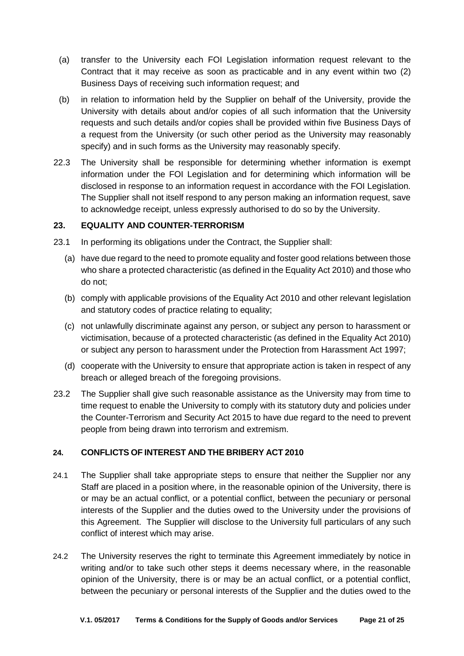- (a) transfer to the University each FOI Legislation information request relevant to the Contract that it may receive as soon as practicable and in any event within two (2) Business Days of receiving such information request; and
- (b) in relation to information held by the Supplier on behalf of the University, provide the University with details about and/or copies of all such information that the University requests and such details and/or copies shall be provided within five Business Days of a request from the University (or such other period as the University may reasonably specify) and in such forms as the University may reasonably specify.
- 22.3 The University shall be responsible for determining whether information is exempt information under the FOI Legislation and for determining which information will be disclosed in response to an information request in accordance with the FOI Legislation. The Supplier shall not itself respond to any person making an information request, save to acknowledge receipt, unless expressly authorised to do so by the University.

### **23. EQUALITY AND COUNTER-TERRORISM**

- 23.1 In performing its obligations under the Contract, the Supplier shall:
	- (a) have due regard to the need to promote equality and foster good relations between those who share a protected characteristic (as defined in the Equality Act 2010) and those who do not;
	- (b) comply with applicable provisions of the Equality Act 2010 and other relevant legislation and statutory codes of practice relating to equality;
	- (c) not unlawfully discriminate against any person, or subject any person to harassment or victimisation, because of a protected characteristic (as defined in the Equality Act 2010) or subject any person to harassment under the Protection from Harassment Act 1997;
	- (d) cooperate with the University to ensure that appropriate action is taken in respect of any breach or alleged breach of the foregoing provisions.
- 23.2 The Supplier shall give such reasonable assistance as the University may from time to time request to enable the University to comply with its statutory duty and policies under the Counter-Terrorism and Security Act 2015 to have due regard to the need to prevent people from being drawn into terrorism and extremism.

## **24. CONFLICTS OF INTEREST AND THE BRIBERY ACT 2010**

- 24.1 The Supplier shall take appropriate steps to ensure that neither the Supplier nor any Staff are placed in a position where, in the reasonable opinion of the University, there is or may be an actual conflict, or a potential conflict, between the pecuniary or personal interests of the Supplier and the duties owed to the University under the provisions of this Agreement. The Supplier will disclose to the University full particulars of any such conflict of interest which may arise.
- 24.2 The University reserves the right to terminate this Agreement immediately by notice in writing and/or to take such other steps it deems necessary where, in the reasonable opinion of the University, there is or may be an actual conflict, or a potential conflict, between the pecuniary or personal interests of the Supplier and the duties owed to the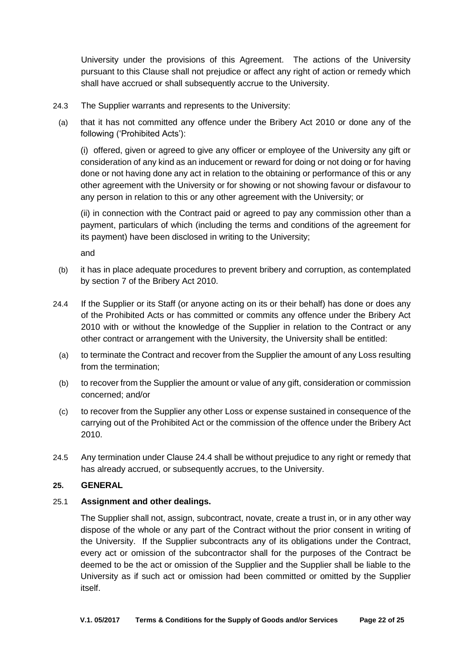University under the provisions of this Agreement. The actions of the University pursuant to this Clause shall not prejudice or affect any right of action or remedy which shall have accrued or shall subsequently accrue to the University.

- 24.3 The Supplier warrants and represents to the University:
- (a) that it has not committed any offence under the Bribery Act 2010 or done any of the following ('Prohibited Acts'):

(i) offered, given or agreed to give any officer or employee of the University any gift or consideration of any kind as an inducement or reward for doing or not doing or for having done or not having done any act in relation to the obtaining or performance of this or any other agreement with the University or for showing or not showing favour or disfavour to any person in relation to this or any other agreement with the University; or

(ii) in connection with the Contract paid or agreed to pay any commission other than a payment, particulars of which (including the terms and conditions of the agreement for its payment) have been disclosed in writing to the University;

and

- (b) it has in place adequate procedures to prevent bribery and corruption, as contemplated by section 7 of the Bribery Act 2010.
- 24.4 If the Supplier or its Staff (or anyone acting on its or their behalf) has done or does any of the Prohibited Acts or has committed or commits any offence under the Bribery Act 2010 with or without the knowledge of the Supplier in relation to the Contract or any other contract or arrangement with the University, the University shall be entitled:
	- (a) to terminate the Contract and recover from the Supplier the amount of any Loss resulting from the termination;
	- (b) to recover from the Supplier the amount or value of any gift, consideration or commission concerned; and/or
	- (c) to recover from the Supplier any other Loss or expense sustained in consequence of the carrying out of the Prohibited Act or the commission of the offence under the Bribery Act 2010.
- 24.5 Any termination under Clause 24.4 shall be without prejudice to any right or remedy that has already accrued, or subsequently accrues, to the University.

## **25. GENERAL**

## 25.1 **Assignment and other dealings.**

The Supplier shall not, assign, subcontract, novate, create a trust in, or in any other way dispose of the whole or any part of the Contract without the prior consent in writing of the University. If the Supplier subcontracts any of its obligations under the Contract, every act or omission of the subcontractor shall for the purposes of the Contract be deemed to be the act or omission of the Supplier and the Supplier shall be liable to the University as if such act or omission had been committed or omitted by the Supplier itself.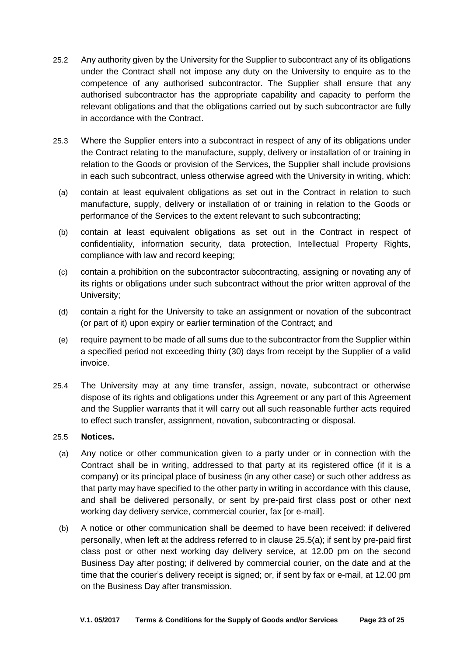- 25.2 Any authority given by the University for the Supplier to subcontract any of its obligations under the Contract shall not impose any duty on the University to enquire as to the competence of any authorised subcontractor. The Supplier shall ensure that any authorised subcontractor has the appropriate capability and capacity to perform the relevant obligations and that the obligations carried out by such subcontractor are fully in accordance with the Contract.
- 25.3 Where the Supplier enters into a subcontract in respect of any of its obligations under the Contract relating to the manufacture, supply, delivery or installation of or training in relation to the Goods or provision of the Services, the Supplier shall include provisions in each such subcontract, unless otherwise agreed with the University in writing, which:
	- (a) contain at least equivalent obligations as set out in the Contract in relation to such manufacture, supply, delivery or installation of or training in relation to the Goods or performance of the Services to the extent relevant to such subcontracting;
	- (b) contain at least equivalent obligations as set out in the Contract in respect of confidentiality, information security, data protection, Intellectual Property Rights, compliance with law and record keeping;
	- (c) contain a prohibition on the subcontractor subcontracting, assigning or novating any of its rights or obligations under such subcontract without the prior written approval of the University;
	- (d) contain a right for the University to take an assignment or novation of the subcontract (or part of it) upon expiry or earlier termination of the Contract; and
	- (e) require payment to be made of all sums due to the subcontractor from the Supplier within a specified period not exceeding thirty (30) days from receipt by the Supplier of a valid invoice.
- 25.4 The University may at any time transfer, assign, novate, subcontract or otherwise dispose of its rights and obligations under this Agreement or any part of this Agreement and the Supplier warrants that it will carry out all such reasonable further acts required to effect such transfer, assignment, novation, subcontracting or disposal.

### 25.5 **Notices.**

- <span id="page-22-0"></span>(a) Any notice or other communication given to a party under or in connection with the Contract shall be in writing, addressed to that party at its registered office (if it is a company) or its principal place of business (in any other case) or such other address as that party may have specified to the other party in writing in accordance with this clause, and shall be delivered personally, or sent by pre-paid first class post or other next working day delivery service, commercial courier, fax [or e-mail].
- (b) A notice or other communication shall be deemed to have been received: if delivered personally, when left at the address referred to in clause [25.5\(a\);](#page-22-0) if sent by pre-paid first class post or other next working day delivery service, at 12.00 pm on the second Business Day after posting; if delivered by commercial courier, on the date and at the time that the courier's delivery receipt is signed; or, if sent by fax or e-mail, at 12.00 pm on the Business Day after transmission.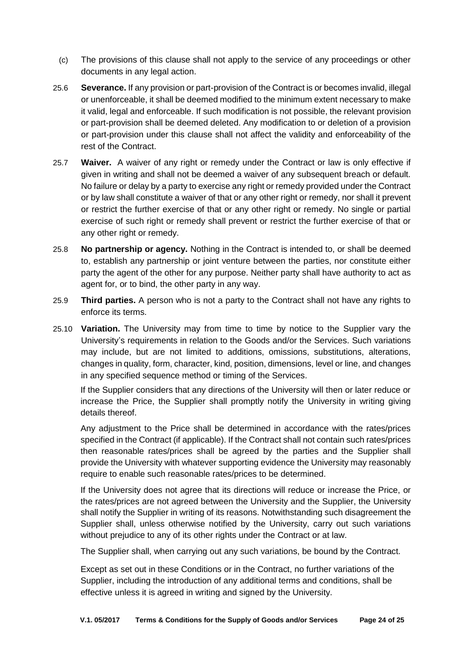- (c) The provisions of this clause shall not apply to the service of any proceedings or other documents in any legal action.
- 25.6 **Severance.** If any provision or part-provision of the Contract is or becomes invalid, illegal or unenforceable, it shall be deemed modified to the minimum extent necessary to make it valid, legal and enforceable. If such modification is not possible, the relevant provision or part-provision shall be deemed deleted. Any modification to or deletion of a provision or part-provision under this clause shall not affect the validity and enforceability of the rest of the Contract.
- 25.7 **Waiver.** A waiver of any right or remedy under the Contract or law is only effective if given in writing and shall not be deemed a waiver of any subsequent breach or default. No failure or delay by a party to exercise any right or remedy provided under the Contract or by law shall constitute a waiver of that or any other right or remedy, nor shall it prevent or restrict the further exercise of that or any other right or remedy. No single or partial exercise of such right or remedy shall prevent or restrict the further exercise of that or any other right or remedy.
- 25.8 **No partnership or agency.** Nothing in the Contract is intended to, or shall be deemed to, establish any partnership or joint venture between the parties, nor constitute either party the agent of the other for any purpose. Neither party shall have authority to act as agent for, or to bind, the other party in any way.
- 25.9 **Third parties.** A person who is not a party to the Contract shall not have any rights to enforce its terms.
- <span id="page-23-0"></span>25.10 **Variation.** The University may from time to time by notice to the Supplier vary the University's requirements in relation to the Goods and/or the Services. Such variations may include, but are not limited to additions, omissions, substitutions, alterations, changes in quality, form, character, kind, position, dimensions, level or line, and changes in any specified sequence method or timing of the Services.

If the Supplier considers that any directions of the University will then or later reduce or increase the Price, the Supplier shall promptly notify the University in writing giving details thereof.

Any adjustment to the Price shall be determined in accordance with the rates/prices specified in the Contract (if applicable). If the Contract shall not contain such rates/prices then reasonable rates/prices shall be agreed by the parties and the Supplier shall provide the University with whatever supporting evidence the University may reasonably require to enable such reasonable rates/prices to be determined.

If the University does not agree that its directions will reduce or increase the Price, or the rates/prices are not agreed between the University and the Supplier, the University shall notify the Supplier in writing of its reasons. Notwithstanding such disagreement the Supplier shall, unless otherwise notified by the University, carry out such variations without prejudice to any of its other rights under the Contract or at law.

The Supplier shall, when carrying out any such variations, be bound by the Contract.

Except as set out in these Conditions or in the Contract, no further variations of the Supplier, including the introduction of any additional terms and conditions, shall be effective unless it is agreed in writing and signed by the University.